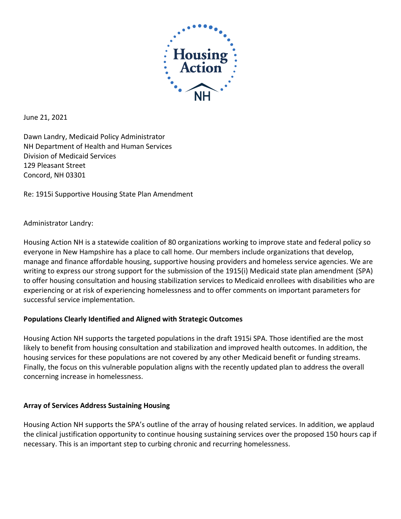

June 21, 2021

Dawn Landry, Medicaid Policy Administrator NH Department of Health and Human Services Division of Medicaid Services 129 Pleasant Street Concord, NH 03301

Re: 1915i Supportive Housing State Plan Amendment

## Administrator Landry:

Housing Action NH is a statewide coalition of 80 organizations working to improve state and federal policy so everyone in New Hampshire has a place to call home. Our members include organizations that develop, manage and finance affordable housing, supportive housing providers and homeless service agencies. We are writing to express our strong support for the submission of the 1915(i) Medicaid state plan amendment (SPA) to offer housing consultation and housing stabilization services to Medicaid enrollees with disabilities who are experiencing or at risk of experiencing homelessness and to offer comments on important parameters for successful service implementation.

## **Populations Clearly Identified and Aligned with Strategic Outcomes**

Housing Action NH supports the targeted populations in the draft 1915i SPA. Those identified are the most likely to benefit from housing consultation and stabilization and improved health outcomes. In addition, the housing services for these populations are not covered by any other Medicaid benefit or funding streams. Finally, the focus on this vulnerable population aligns with the recently updated plan to address the overall concerning increase in homelessness.

## **Array of Services Address Sustaining Housing**

Housing Action NH supports the SPA's outline of the array of housing related services. In addition, we applaud the clinical justification opportunity to continue housing sustaining services over the proposed 150 hours cap if necessary. This is an important step to curbing chronic and recurring homelessness.